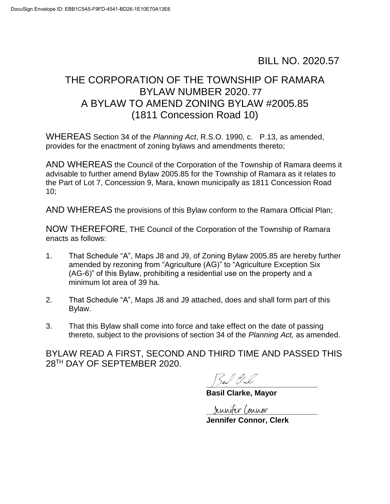## BILL NO. 2020.57

## THE CORPORATION OF THE TOWNSHIP OF RAMARA BYLAW NUMBER 2020. 77 A BYLAW TO AMEND ZONING BYLAW #2005.85 (1811 Concession Road 10)

WHEREAS Section 34 of the *Planning Act*, R.S.O. 1990, c. P.13, as amended, provides for the enactment of zoning bylaws and amendments thereto;

AND WHEREAS the Council of the Corporation of the Township of Ramara deems it advisable to further amend Bylaw 2005.85 for the Township of Ramara as it relates to the Part of Lot 7, Concession 9, Mara, known municipally as 1811 Concession Road 10;

AND WHEREAS the provisions of this Bylaw conform to the Ramara Official Plan;

NOW THEREFORE, THE Council of the Corporation of the Township of Ramara enacts as follows:

- 1. That Schedule "A", Maps J8 and J9, of Zoning Bylaw 2005.85 are hereby further amended by rezoning from "Agriculture (AG)" to "Agriculture Exception Six (AG-6)" of this Bylaw, prohibiting a residential use on the property and a minimum lot area of 39 ha.
- 2. That Schedule "A", Maps J8 and J9 attached, does and shall form part of this Bylaw.
- 3. That this Bylaw shall come into force and take effect on the date of passing thereto, subject to the provisions of section 34 of the *Planning Act,* as amended.

 BYLAW READ A FIRST, SECOND AND THIRD TIME AND PASSED THIS 28TH DAY OF SEPTEMBER 2020.

 $\frac{1}{2}$ 

**Basil Clarke, Mayor** 

**\_\_\_\_\_\_\_\_\_\_\_\_\_\_\_\_\_\_\_\_\_\_\_\_\_\_ Jennifer Connor, Clerk**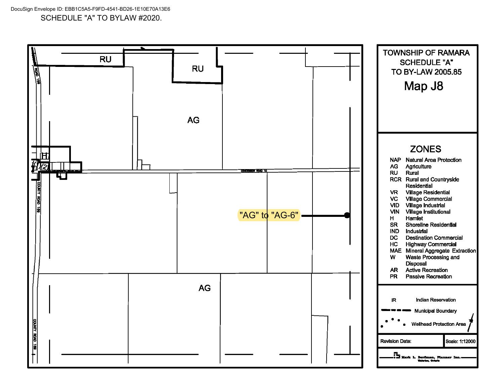DocuSign Envelope ID: EBB1C5A5-F9FD-4541-BD26-1E10E70A13E6 SCHEDULE "A" TO BYLAW #2020.